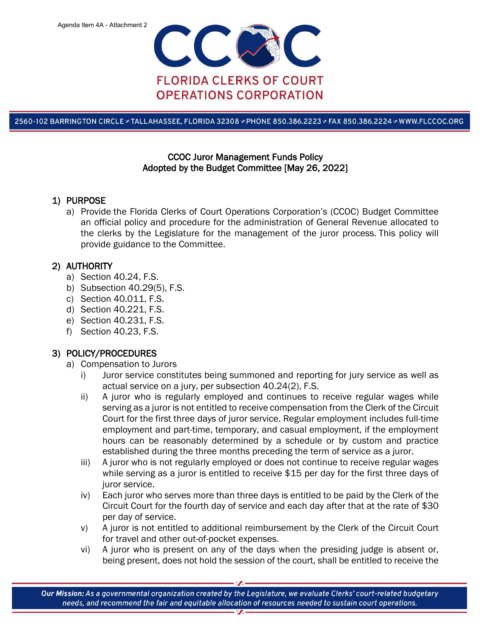

2560-102 BARRINGTON CIRCLE » TALLAHASSEE, FLORIDA 32308 » PHONE 850.386.2223 » FAX 850.386.2224 » WWW.FLCCOC.ORG

### CCOC Juror Management Funds Policy Adopted by the Budget Committee [May 26, 2022]

### 1) PURPOSE

a) Provide the Florida Clerks of Court Operations Corporation's (CCOC) Budget Committee an official policy and procedure for the administration of General Revenue allocated to the clerks by the Legislature for the management of the juror process. This policy will provide guidance to the Committee.

## 2) AUTHORITY

- a) Section 40.24, F.S.
- b) Subsection 40.29(5), F.S.
- c) Section 40.011, F.S.
- d) Section 40.221, F.S.
- e) Section 40.231, F.S.
- f) Section 40.23, F.S.

# 3) POLICY/PROCEDURES

- a) Compensation to Jurors
	- i) Juror service constitutes being summoned and reporting for jury service as well as actual service on a jury, per subsection 40.24(2), F.S.
	- ii) A juror who is regularly employed and continues to receive regular wages while serving as a juror is not entitled to receive compensation from the Clerk of the Circuit Court for the first three days of juror service. Regular employment includes full-time employment and part-time, temporary, and casual employment, if the employment hours can be reasonably determined by a schedule or by custom and practice established during the three months preceding the term of service as a juror.
	- iii) A juror who is not regularly employed or does not continue to receive regular wages while serving as a juror is entitled to receive \$15 per day for the first three days of juror service.
	- iv) Each juror who serves more than three days is entitled to be paid by the Clerk of the Circuit Court for the fourth day of service and each day after that at the rate of \$30 per day of service.
	- v) A juror is not entitled to additional reimbursement by the Clerk of the Circuit Court for travel and other out-of-pocket expenses.
	- vi) A juror who is present on any of the days when the presiding judge is absent or, being present, does not hold the session of the court, shall be entitled to receive the

Our Mission: As a governmental organization created by the Legislature, we evaluate Clerks' court-related budgetary needs, and recommend the fair and equitable allocation of resources needed to sustain court operations.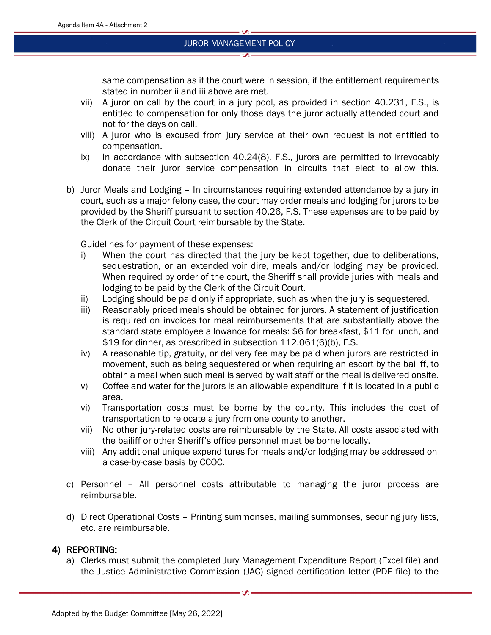same compensation as if the court were in session, if the entitlement requirements stated in number ii and iii above are met.

- vii) A juror on call by the court in a jury pool, as provided in section 40.231, F.S., is entitled to compensation for only those days the juror actually attended court and not for the days on call.
- viii) A juror who is excused from jury service at their own request is not entitled to compensation.
- ix) In accordance with subsection 40.24(8), F.S., jurors are permitted to irrevocably donate their juror service compensation in circuits that elect to allow this.
- b) Juror Meals and Lodging In circumstances requiring extended attendance by a jury in court, such as a major felony case, the court may order meals and lodging for jurors to be provided by the Sheriff pursuant to section 40.26, F.S. These expenses are to be paid by the Clerk of the Circuit Court reimbursable by the State.

Guidelines for payment of these expenses:

- i) When the court has directed that the jury be kept together, due to deliberations, sequestration, or an extended voir dire, meals and/or lodging may be provided. When required by order of the court, the Sheriff shall provide juries with meals and lodging to be paid by the Clerk of the Circuit Court.
- ii) Lodging should be paid only if appropriate, such as when the jury is sequestered.
- iii) Reasonably priced meals should be obtained for jurors. A statement of justification is required on invoices for meal reimbursements that are substantially above the standard state employee allowance for meals: \$6 for breakfast, \$11 for lunch, and \$19 for dinner, as prescribed in subsection 112.061(6)(b), F.S.
- iv) A reasonable tip, gratuity, or delivery fee may be paid when jurors are restricted in movement, such as being sequestered or when requiring an escort by the bailiff, to obtain a meal when such meal is served by wait staff or the meal is delivered onsite.
- v) Coffee and water for the jurors is an allowable expenditure if it is located in a public area.
- vi) Transportation costs must be borne by the county. This includes the cost of transportation to relocate a jury from one county to another.
- vii) No other jury-related costs are reimbursable by the State. All costs associated with the bailiff or other Sheriff's office personnel must be borne locally.
- viii) Any additional unique expenditures for meals and/or lodging may be addressed on a case-by-case basis by CCOC.
- c) Personnel All personnel costs attributable to managing the juror process are reimbursable.
- d) Direct Operational Costs Printing summonses, mailing summonses, securing jury lists, etc. are reimbursable.

### 4) REPORTING:

a) Clerks must submit the completed Jury Management Expenditure Report (Excel file) and the Justice Administrative Commission (JAC) signed certification letter (PDF file) to the